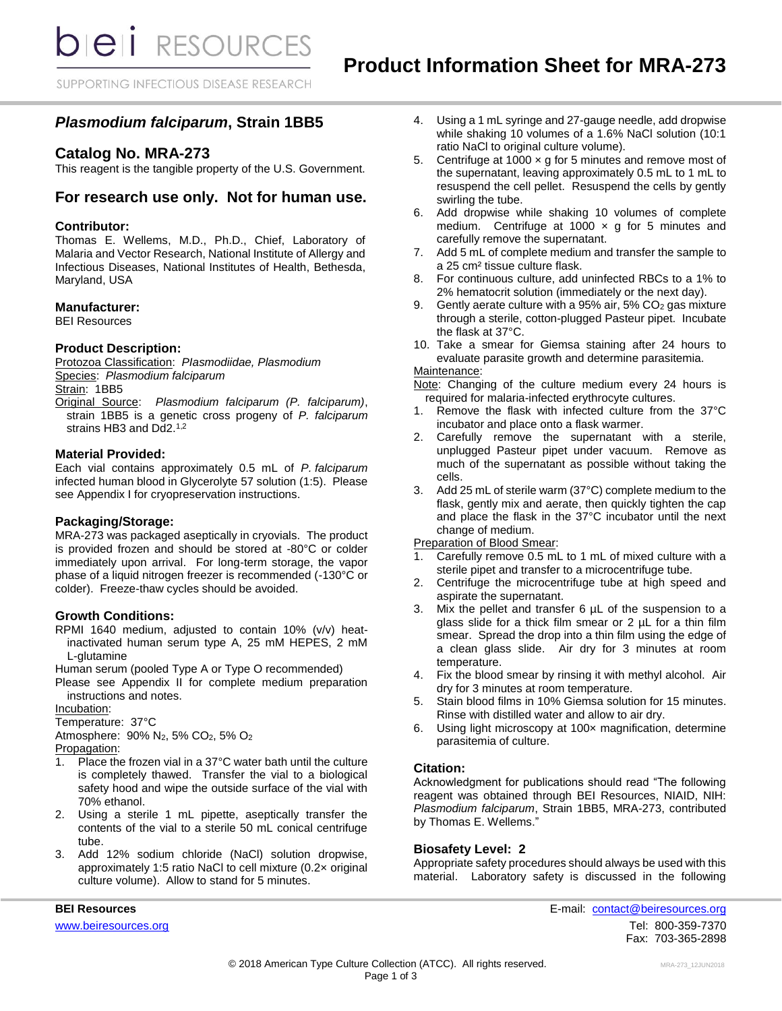**bieli** RESOURCES

SUPPORTING INFECTIOUS DISEASE RESEARCH

# *Plasmodium falciparum***, Strain 1BB5**

# **Catalog No. MRA-273**

This reagent is the tangible property of the U.S. Government.

# **For research use only. Not for human use.**

### **Contributor:**

Thomas E. Wellems, M.D., Ph.D., Chief, Laboratory of Malaria and Vector Research, National Institute of Allergy and Infectious Diseases, National Institutes of Health, Bethesda, Maryland, USA

### **Manufacturer:**

BEI Resources

### **Product Description:**

Protozoa Classification: *PIasmodiidae, Plasmodium* Species: *Plasmodium falciparum* Strain: 1BB5

Original Source: *Plasmodium falciparum (P. falciparum)*, strain 1BB5 is a genetic cross progeny of *P. falciparum* strains HB3 and Dd2.<sup>1,2</sup>

### **Material Provided:**

Each vial contains approximately 0.5 mL of *P. falciparum* infected human blood in Glycerolyte 57 solution (1:5). Please see Appendix I for cryopreservation instructions.

### **Packaging/Storage:**

MRA-273 was packaged aseptically in cryovials. The product is provided frozen and should be stored at -80°C or colder immediately upon arrival. For long-term storage, the vapor phase of a liquid nitrogen freezer is recommended (-130°C or colder). Freeze-thaw cycles should be avoided.

### **Growth Conditions:**

RPMI 1640 medium, adjusted to contain 10% (v/v) heatinactivated human serum type A, 25 mM HEPES, 2 mM L-glutamine

Human serum (pooled Type A or Type O recommended)

Please see Appendix II for complete medium preparation instructions and notes.

Incubation:

Temperature: 37°C

Atmosphere: 90% N2, 5% CO2, 5% O<sup>2</sup> Propagation:

- 1. Place the frozen vial in a 37°C water bath until the culture is completely thawed. Transfer the vial to a biological safety hood and wipe the outside surface of the vial with 70% ethanol.
- 2. Using a sterile 1 mL pipette, aseptically transfer the contents of the vial to a sterile 50 mL conical centrifuge tube.
- 3. Add 12% sodium chloride (NaCl) solution dropwise, approximately 1:5 ratio NaCl to cell mixture (0.2× original culture volume). Allow to stand for 5 minutes.
- 4. Using a 1 mL syringe and 27-gauge needle, add dropwise while shaking 10 volumes of a 1.6% NaCl solution (10:1 ratio NaCl to original culture volume).
- 5. Centrifuge at 1000  $\times$  g for 5 minutes and remove most of the supernatant, leaving approximately 0.5 mL to 1 mL to resuspend the cell pellet. Resuspend the cells by gently swirling the tube.
- 6. Add dropwise while shaking 10 volumes of complete medium. Centrifuge at 1000  $\times$  g for 5 minutes and carefully remove the supernatant.
- 7. Add 5 mL of complete medium and transfer the sample to a 25 cm² tissue culture flask.
- 8. For continuous culture, add uninfected RBCs to a 1% to 2% hematocrit solution (immediately or the next day).
- 9. Gently aerate culture with a 95% air, 5% CO<sup>2</sup> gas mixture through a sterile, cotton-plugged Pasteur pipet. Incubate the flask at 37°C.
- 10. Take a smear for Giemsa staining after 24 hours to evaluate parasite growth and determine parasitemia.

### Maintenance:

Note: Changing of the culture medium every 24 hours is required for malaria-infected erythrocyte cultures.

- 1. Remove the flask with infected culture from the 37°C incubator and place onto a flask warmer.
- 2. Carefully remove the supernatant with a sterile, unplugged Pasteur pipet under vacuum. Remove as much of the supernatant as possible without taking the cells.
- 3. Add 25 mL of sterile warm (37°C) complete medium to the flask, gently mix and aerate, then quickly tighten the cap and place the flask in the 37°C incubator until the next change of medium.

Preparation of Blood Smear:

- 1. Carefully remove 0.5 mL to 1 mL of mixed culture with a sterile pipet and transfer to a microcentrifuge tube.
- 2. Centrifuge the microcentrifuge tube at high speed and aspirate the supernatant.
- 3. Mix the pellet and transfer 6 µL of the suspension to a glass slide for a thick film smear or 2 µL for a thin film smear. Spread the drop into a thin film using the edge of a clean glass slide. Air dry for 3 minutes at room temperature.
- 4. Fix the blood smear by rinsing it with methyl alcohol. Air dry for 3 minutes at room temperature.
- 5. Stain blood films in 10% Giemsa solution for 15 minutes. Rinse with distilled water and allow to air dry.
- 6. Using light microscopy at 100× magnification, determine parasitemia of culture.

### **Citation:**

Acknowledgment for publications should read "The following reagent was obtained through BEI Resources, NIAID, NIH: *Plasmodium falciparum*, Strain 1BB5, MRA-273, contributed by Thomas E. Wellems."

### **Biosafety Level: 2**

Appropriate safety procedures should always be used with this material. Laboratory safety is discussed in the following

**BEI Resources** E-mail: [contact@beiresources.org](mailto:contact@beiresources.org) [www.beiresources.org](http://www.beiresources.org/)Tel: 800-359-7370 Fax: 703-365-2898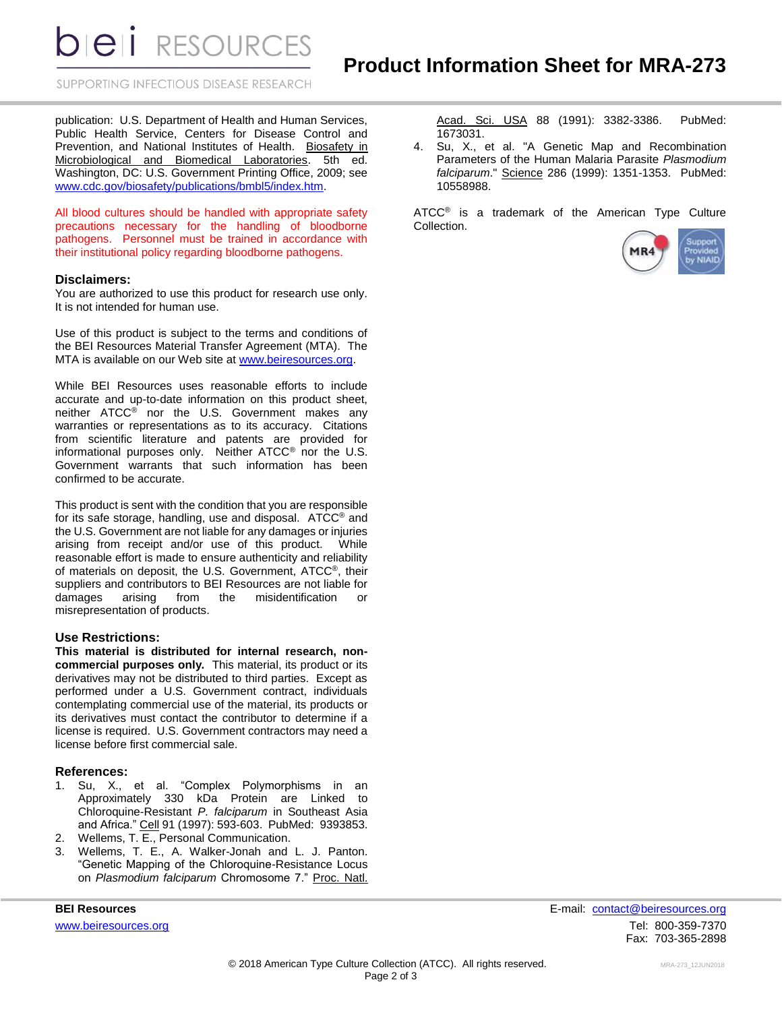**DIEII** RESOURCES

SUPPORTING INFECTIOUS DISEASE RESEARCH

publication: U.S. Department of Health and Human Services, Public Health Service, Centers for Disease Control and Prevention, and National Institutes of Health. Biosafety in Microbiological and Biomedical Laboratories. 5th ed. Washington, DC: U.S. Government Printing Office, 2009; see [www.cdc.gov/biosafety/publications/bmbl5/index.htm.](http://www.cdc.gov/biosafety/publications/bmbl5/index.htm)

All blood cultures should be handled with appropriate safety precautions necessary for the handling of bloodborne pathogens. Personnel must be trained in accordance with their institutional policy regarding bloodborne pathogens.

### **Disclaimers:**

You are authorized to use this product for research use only. It is not intended for human use.

Use of this product is subject to the terms and conditions of the BEI Resources Material Transfer Agreement (MTA). The MTA is available on our Web site at [www.beiresources.org.](http://www.beiresources.org/)

While BEI Resources uses reasonable efforts to include accurate and up-to-date information on this product sheet, neither ATCC® nor the U.S. Government makes any warranties or representations as to its accuracy. Citations from scientific literature and patents are provided for informational purposes only. Neither ATCC® nor the U.S. Government warrants that such information has been confirmed to be accurate.

This product is sent with the condition that you are responsible for its safe storage, handling, use and disposal. ATCC® and the U.S. Government are not liable for any damages or injuries arising from receipt and/or use of this product. While reasonable effort is made to ensure authenticity and reliability of materials on deposit, the U.S. Government, ATCC®, their suppliers and contributors to BEI Resources are not liable for damages arising from the misidentification or misrepresentation of products.

#### **Use Restrictions:**

**This material is distributed for internal research, noncommercial purposes only.** This material, its product or its derivatives may not be distributed to third parties. Except as performed under a U.S. Government contract, individuals contemplating commercial use of the material, its products or its derivatives must contact the contributor to determine if a license is required. U.S. Government contractors may need a license before first commercial sale.

#### **References:**

- 1. Su, X., et al. "Complex Polymorphisms in an Approximately 330 kDa Protein are Linked to Chloroquine-Resistant *P. falciparum* in Southeast Asia and Africa." Cell 91 (1997): 593-603. PubMed: 9393853.
- 2. Wellems, T. E., Personal Communication.
- 3. Wellems, T. E., A. Walker-Jonah and L. J. Panton. "Genetic Mapping of the Chloroquine-Resistance Locus on *Plasmodium falciparum* Chromosome 7." Proc. Natl.

Acad. Sci. USA 88 (1991): 3382-3386. PubMed: 1673031.

4. Su, X., et al. "A Genetic Map and Recombination Parameters of the Human Malaria Parasite *Plasmodium falciparum*." Science 286 (1999): 1351-1353. PubMed: 10558988.

ATCC<sup>®</sup> is a trademark of the American Type Culture Collection.